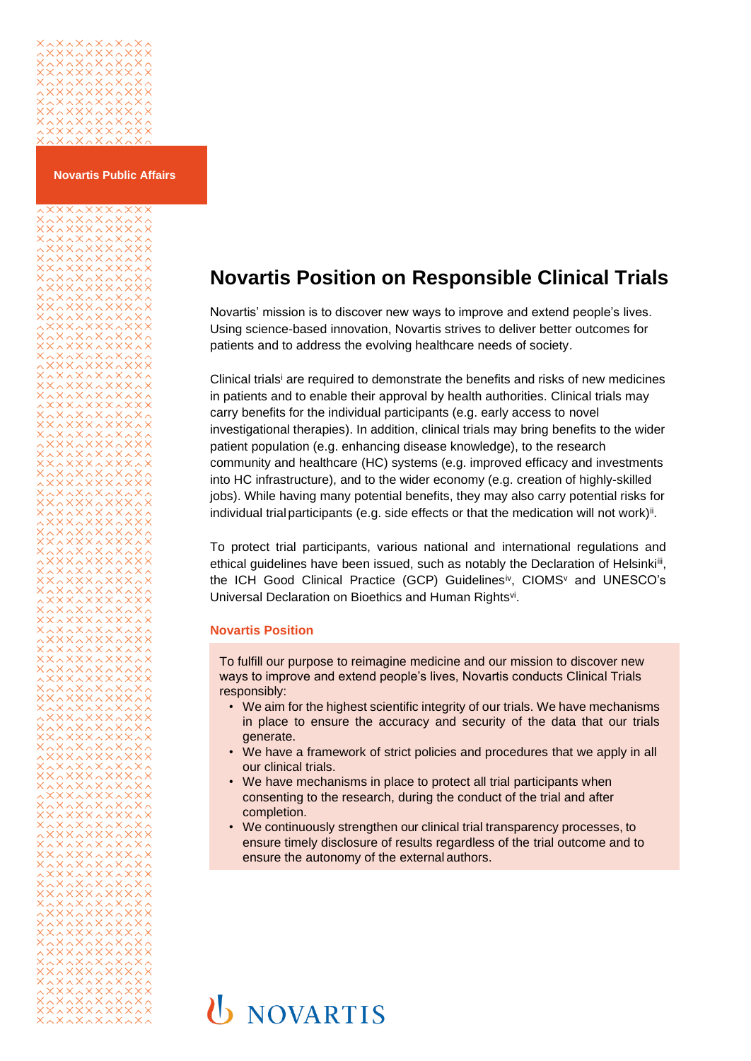

**Novartis Public Affairs**

# 

### **Novartis Position on Responsible Clinical Trials**

Novartis' mission is to discover new ways to improve and extend people's lives. Using science-based innovation, Novartis strives to deliver better outcomes for patients and to address the evolving healthcare needs of society.

Clinical trials<sup>i</sup> are required to demonstrate the benefits and risks of new medicines in patients and to enable their approval by health authorities. Clinical trials may carry benefits for the individual participants (e.g. early access to novel investigational therapies). In addition, clinical trials may bring benefits to the wider patient population (e.g. enhancing disease knowledge), to the research community and healthcare (HC) systems (e.g. improved efficacy and investments into HC infrastructure), and to the wider economy (e.g. creation of highly-skilled jobs). While having many potential benefits, they may also carry potential risks for individual trial participants (e.g. side effects or that the medication will not work)<sup>ii</sup>.

To protect trial participants, various national and international regulations and ethical guidelines have been issued, such as notably the Declaration of Helsinki<sup>ii</sup>, the ICH Good Clinical Practice (GCP) Guidelinesiv, CIOMS<sup>v</sup> and UNESCO's Universal Declaration on Bioethics and Human Rightsvi.

#### **Novartis Position**

To fulfill our purpose to reimagine medicine and our mission to discover new ways to improve and extend people's lives, Novartis conducts Clinical Trials responsibly:

- We aim for the highest scientific integrity of our trials. We have mechanisms in place to ensure the accuracy and security of the data that our trials generate.
- We have a framework of strict policies and procedures that we apply in all our clinical trials.
- We have mechanisms in place to protect all trial participants when consenting to the research, during the conduct of the trial and after completion.
- We continuously strengthen our clinical trial transparency processes, to ensure timely disclosure of results regardless of the trial outcome and to ensure the autonomy of the external authors.

# **U** NOVARTIS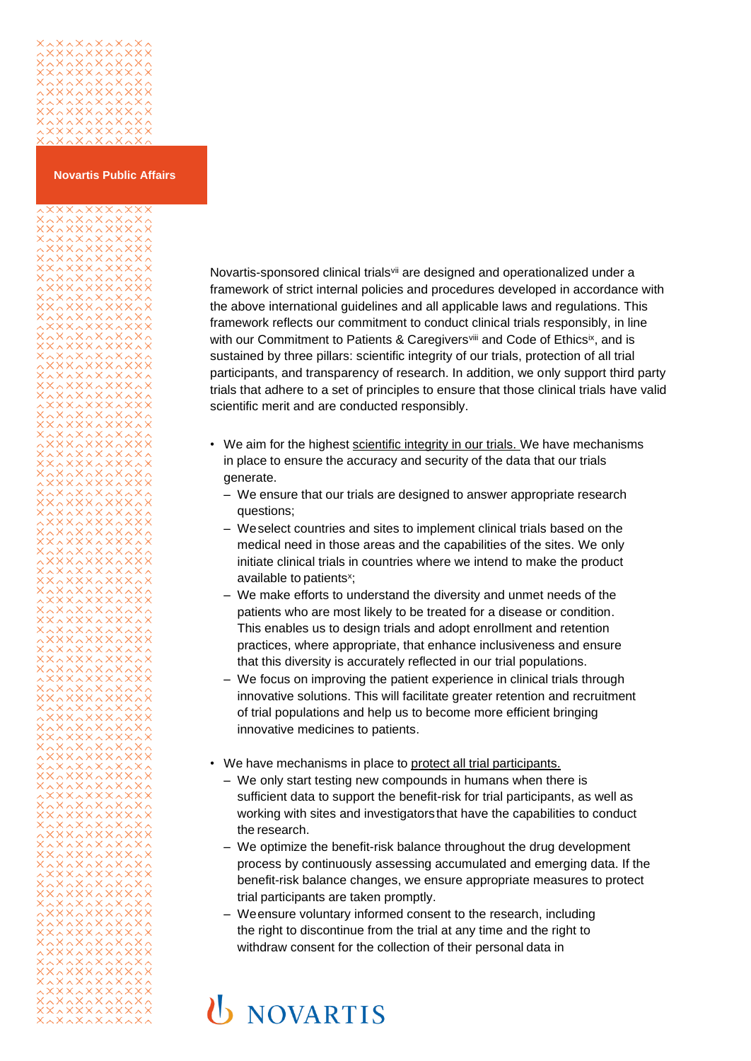# 

^\*^\*^\*^^\*^<br>\*^\*\*\*^\*\*\*\*<br>^\*^\*^\*\*^\*

222222222<br>2323232323<br>2323232323<br>2323232323

2222222222<br>2xxx2xxx<br>2x2x2x2xxx

2222222222<br>2333333333<br>23333333333

222222222<br>23232323<br>2323232323<br>23233232333

22222222<br>23233332<br>23233332

122222222<br>XXX.XXX.X<br>XXXXXXXX<br>080X080X0

**AXAXAXAXA** 

22222222222<br>23333333333<br>23333333333

222222222<br>|222322222<br>|080×080×08

xxxxxxxxxxx<br>xxxxxxxx

xxxxxxxxx<br>xxxxxxxx<br>xxxxxxxx

#### **Novartis Public Affairs**

Novartis-sponsored clinical trials<sup>vii</sup> are designed and operationalized under a framework of strict internal policies and procedures developed in accordance with the above international guidelines and all applicable laws and regulations. This framework reflects our commitment to conduct clinical trials responsibly, in line with our Commitment to Patients & Caregivers<sup>viii</sup> and Code of Ethicsix, and is sustained by three pillars: scientific integrity of our trials, protection of all trial participants, and transparency of research. In addition, we only support third party trials that adhere to a set of principles to ensure that those clinical trials have valid scientific merit and are conducted responsibly.

- We aim for the highest scientific integrity in our trials. We have mechanisms in place to ensure the accuracy and security of the data that our trials generate.
	- We ensure that our trials are designed to answer appropriate research questions;
	- Weselect countries and sites to implement clinical trials based on the medical need in those areas and the capabilities of the sites. We only initiate clinical trials in countries where we intend to make the product available to patients<sup>x</sup>;
	- We make efforts to understand the diversity and unmet needs of the patients who are most likely to be treated for a disease or condition. This enables us to design trials and adopt enrollment and retention practices, where appropriate, that enhance inclusiveness and ensure that this diversity is accurately reflected in our trial populations.
	- We focus on improving the patient experience in clinical trials through innovative solutions. This will facilitate greater retention and recruitment of trial populations and help us to become more efficient bringing innovative medicines to patients.
- We have mechanisms in place to protect all trial participants.
	- We only start testing new compounds in humans when there is sufficient data to support the benefit-risk for trial participants, as well as working with sites and investigators that have the capabilities to conduct the research.
	- We optimize the benefit-risk balance throughout the drug development process by continuously assessing accumulated and emerging data. If the benefit-risk balance changes, we ensure appropriate measures to protect trial participants are taken promptly.
	- Weensure voluntary informed consent to the research, including the right to discontinue from the trial at any time and the right to withdraw consent for the collection of their personal data in

## **U** NOVARTIS